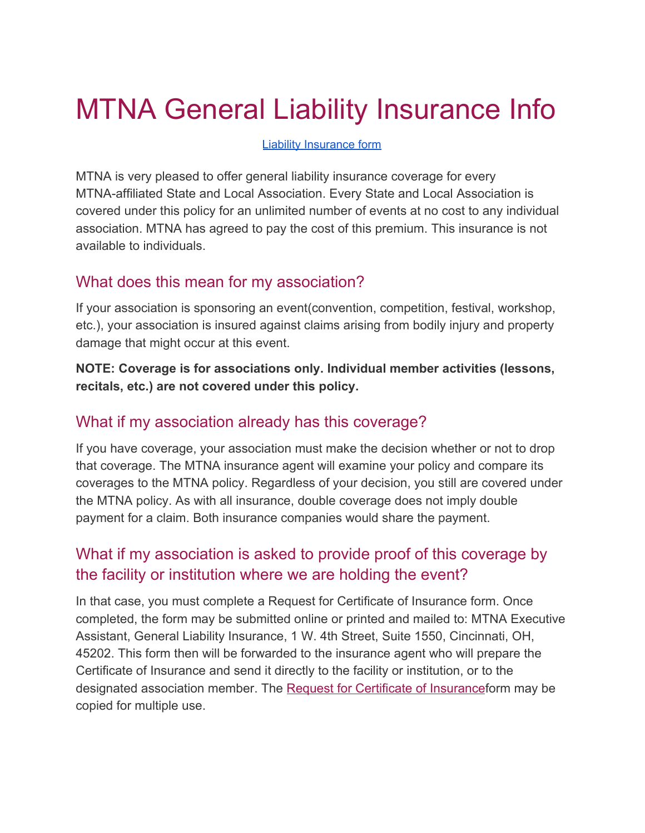# MTNA General Liability Insurance Info

#### Liability [Insurance](https://www.mtna.org/downloads/connect/local/generalliability.pdf) form

MTNA is very pleased to offer general liability insurance coverage for every MTNA-affiliated State and Local Association. Every State and Local Association is covered under this policy for an unlimited number of events at no cost to any individual association. MTNA has agreed to pay the cost of this premium. This insurance is not available to individuals.

#### What does this mean for my association?

If your association is sponsoring an event(convention, competition, festival, workshop, etc.), your association is insured against claims arising from bodily injury and property damage that might occur at this event.

**NOTE: Coverage is for associations only. Individual member activities (lessons, recitals, etc.) are not covered under this policy.**

### What if my association already has this coverage?

If you have coverage, your association must make the decision whether or not to drop that coverage. The MTNA insurance agent will examine your policy and compare its coverages to the MTNA policy. Regardless of your decision, you still are covered under the MTNA policy. As with all insurance, double coverage does not imply double payment for a claim. Both insurance companies would share the payment.

## What if my association is asked to provide proof of this coverage by the facility or institution where we are holding the event?

In that case, you must complete a Request for Certificate of Insurance form. Once completed, the form may be submitted online or printed and mailed to: MTNA Executive Assistant, General Liability Insurance, 1 W. 4th Street, Suite 1550, Cincinnati, OH, 45202. This form then will be forwarded to the insurance agent who will prepare the Certificate of Insurance and send it directly to the facility or institution, or to the designated association member. The [Request for Certificate of Insurance](https://www.mtna.org/MTNA/Learn/Affiliate_Services/General_Liability_Request_Form.aspx)form may be copied for multiple use.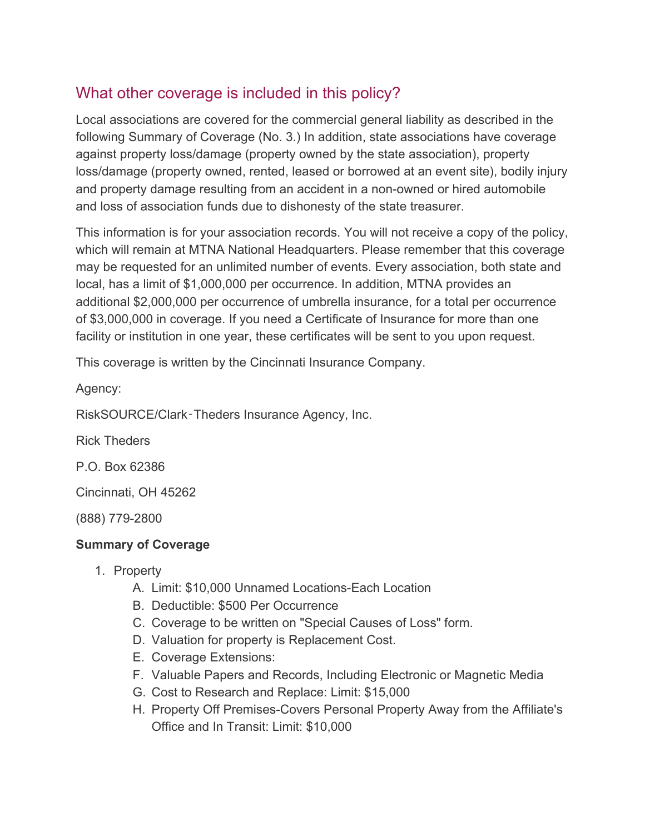## What other coverage is included in this policy?

Local associations are covered for the commercial general liability as described in the following Summary of Coverage (No. 3.) In addition, state associations have coverage against property loss/damage (property owned by the state association), property loss/damage (property owned, rented, leased or borrowed at an event site), bodily injury and property damage resulting from an accident in a non-owned or hired automobile and loss of association funds due to dishonesty of the state treasurer.

This information is for your association records. You will not receive a copy of the policy, which will remain at MTNA National Headquarters. Please remember that this coverage may be requested for an unlimited number of events. Every association, both state and local, has a limit of \$1,000,000 per occurrence. In addition, MTNA provides an additional \$2,000,000 per occurrence of umbrella insurance, for a total per occurrence of \$3,000,000 in coverage. If you need a Certificate of Insurance for more than one facility or institution in one year, these certificates will be sent to you upon request.

This coverage is written by the Cincinnati Insurance Company.

Agency:

RiskSOURCE/Clark‑Theders Insurance Agency, Inc.

Rick Theders

P.O. Box 62386

Cincinnati, OH 45262

(888) 779-2800

#### **Summary of Coverage**

- 1. Property
	- A. Limit: \$10,000 Unnamed Locations-Each Location
	- B. Deductible: \$500 Per Occurrence
	- C. Coverage to be written on "Special Causes of Loss" form.
	- D. Valuation for property is Replacement Cost.
	- E. Coverage Extensions:
	- F. Valuable Papers and Records, Including Electronic or Magnetic Media
	- G. Cost to Research and Replace: Limit: \$15,000
	- H. Property Off Premises-Covers Personal Property Away from the Affiliate's Office and In Transit: Limit: \$10,000